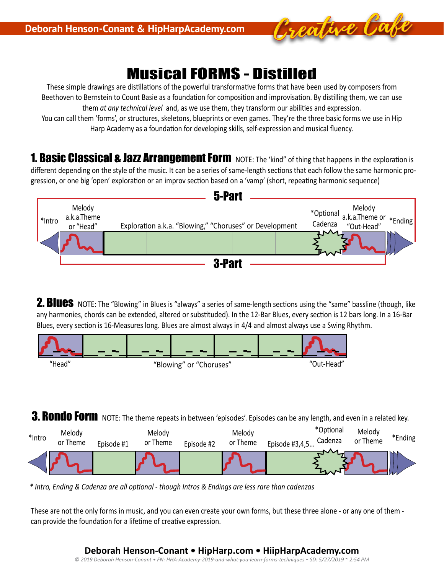

# Musical FORMS - Distilled

These simple drawings are distillations of the powerful transformative forms that have been used by composers from Beethoven to Bernstein to Count Basie as a foundation for composition and improvisation. By distilling them, we can use them *at any technical level* and, as we use them, they transform our abilities and expression.

You can call them 'forms', or structures, skeletons, blueprints or even games. They're the three basic forms we use in Hip Harp Academy as a foundation for developing skills, self-expression and musical fluency.

**1. Basic Classical & Jazz Arrangement Form** NOTE: The 'kind" of thing that happens in the exploration is different depending on the style of the music. It can be a series of same-length sections that each follow the same harmonic progression, or one big 'open' exploration or an improv section based on a 'vamp' (short, repeating harmonic sequence)



2. Blues NOTE: The "Blowing" in Blues is "always" a series of same-length sections using the "same" bassline (though, like any harmonies, chords can be extended, altered or substituded). In the 12-Bar Blues, every section is 12 bars long. In a 16-Bar Blues, every section is 16-Measures long. Blues are almost always in 4/4 and almost always use a Swing Rhythm.



**3. RONdO FOIM** NOTE: The theme repeats in between 'episodes'. Episodes can be any length, and even in a related key.



*\* Intro, Ending & Cadenza are all optional - though Intros & Endings are less rare than cadenzas* 

These are not the only forms in music, and you can even create your own forms, but these three alone - or any one of them can provide the foundation for a lifetime of creative expression.